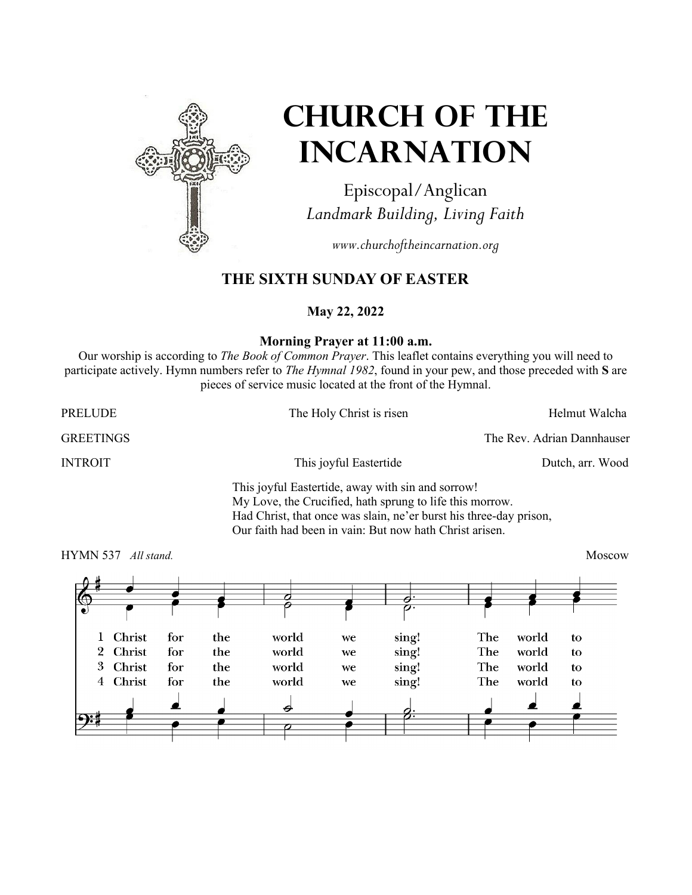

# **CHURCH OF THE INCARNATION**

Episcopal/Anglican *Landmark Building, Living Faith*

*www.churchoftheincarnation.org*

## **THE SIXTH SUNDAY OF EASTER**

## **May 22, 2022**

#### **Morning Prayer at 11:00 a.m.**

Our worship is according to *The Book of Common Prayer*. This leaflet contains everything you will need to participate actively. Hymn numbers refer to *The Hymnal 1982*, found in your pew, and those preceded with **S** are pieces of service music located at the front of the Hymnal.

PRELUDE The Holy Christ is risen Helmut Walcha

GREETINGS GREETINGS The Rev. Adrian Dannhauser

INTROITThis joyful Eastertide Dutch, arr. Wood

This joyful Eastertide, away with sin and sorrow! My Love, the Crucified, hath sprung to life this morrow. Had Christ, that once was slain, ne'er burst his three-day prison, Our faith had been in vain: But now hath Christ arisen.

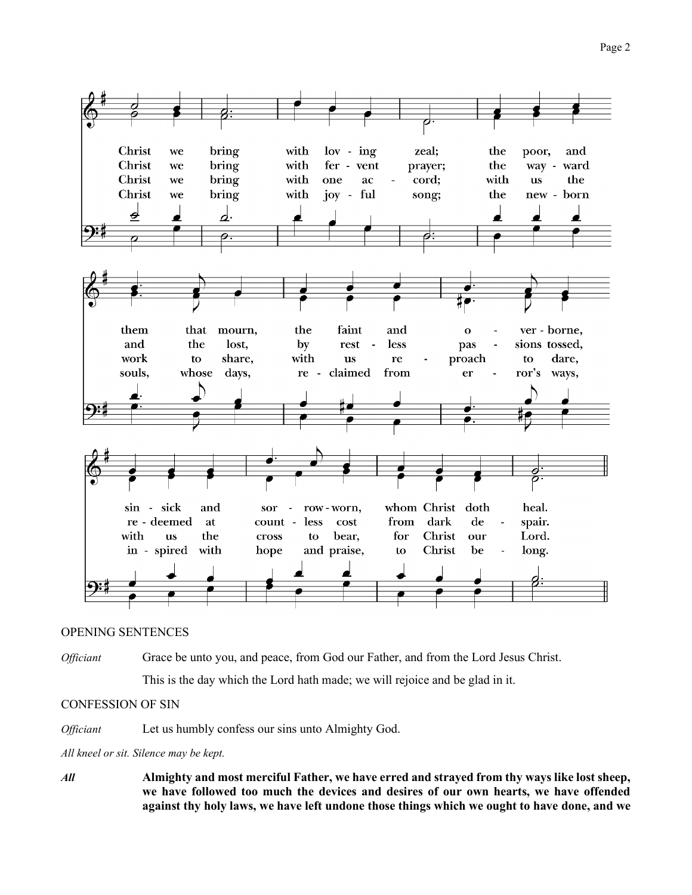

#### OPENING SENTENCES

*Officiant* Grace be unto you, and peace, from God our Father, and from the Lord Jesus Christ.

This is the day which the Lord hath made; we will rejoice and be glad in it.

#### CONFESSION OF SIN

*Officiant* Let us humbly confess our sins unto Almighty God.

*All kneel or sit. Silence may be kept.*

*All* **Almighty and most merciful Father, we have erred and strayed from thy ways like lost sheep, we have followed too much the devices and desires of our own hearts, we have offended against thy holy laws, we have left undone those things which we ought to have done, and we**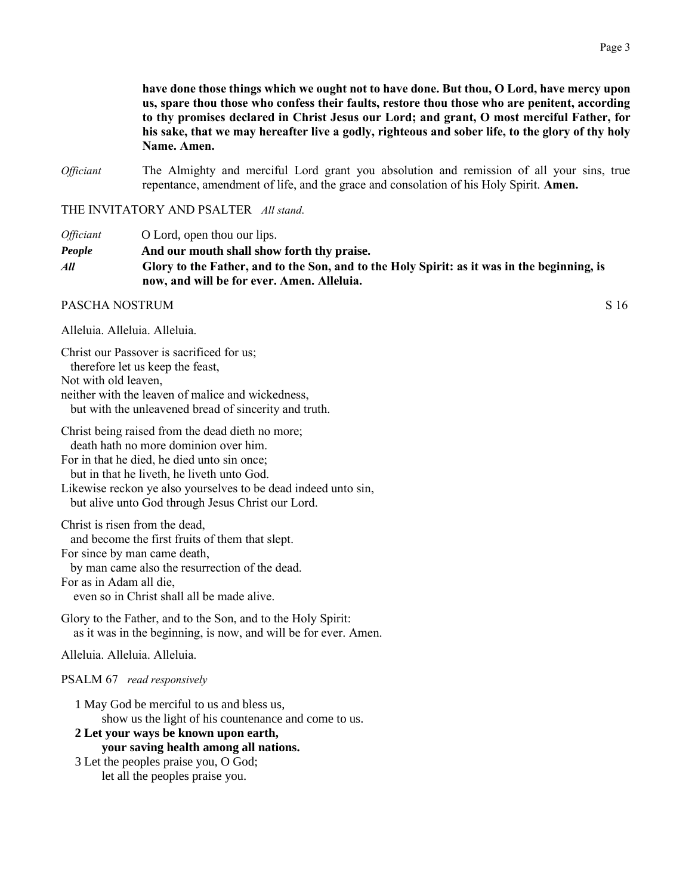**have done those things which we ought not to have done. But thou, O Lord, have mercy upon us, spare thou those who confess their faults, restore thou those who are penitent, according to thy promises declared in Christ Jesus our Lord; and grant, O most merciful Father, for his sake, that we may hereafter live a godly, righteous and sober life, to the glory of thy holy Name. Amen.**

*Officiant* The Almighty and merciful Lord grant you absolution and remission of all your sins, true repentance, amendment of life, and the grace and consolation of his Holy Spirit. **Amen.**

#### THE INVITATORY AND PSALTER *All stand.*

*Officiant* **O** Lord, open thou our lips. *People* **And our mouth shall show forth thy praise.** *All* **Glory to the Father, and to the Son, and to the Holy Spirit: as it was in the beginning, is now, and will be for ever. Amen. Alleluia.**

#### PASCHA NOSTRUM S 16

Alleluia. Alleluia. Alleluia.

Christ our Passover is sacrificed for us; therefore let us keep the feast, Not with old leaven, neither with the leaven of malice and wickedness, but with the unleavened bread of sincerity and truth.

Christ being raised from the dead dieth no more; death hath no more dominion over him.

For in that he died, he died unto sin once; but in that he liveth, he liveth unto God.

Likewise reckon ye also yourselves to be dead indeed unto sin, but alive unto God through Jesus Christ our Lord.

Christ is risen from the dead,

and become the first fruits of them that slept.

For since by man came death,

by man came also the resurrection of the dead.

For as in Adam all die,

even so in Christ shall all be made alive.

Glory to the Father, and to the Son, and to the Holy Spirit: as it was in the beginning, is now, and will be for ever. Amen.

Alleluia. Alleluia. Alleluia.

```
PSALM 67 read responsively
```
1 May God be merciful to us and bless us, show us the light of his countenance and come to us.

#### **2 Let your ways be known upon earth, your saving health among all nations.**

# 3 Let the peoples praise you, O God;

let all the peoples praise you.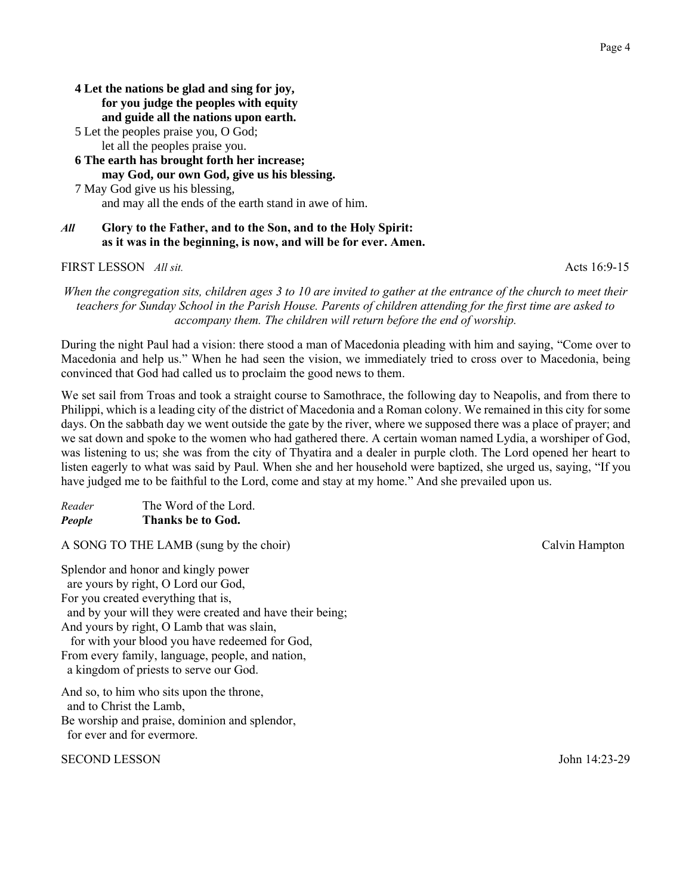FIRST LESSON *All sit.* Acts 16:9-15

**4 Let the nations be glad and sing for joy, for you judge the peoples with equity and guide all the nations upon earth.**

**may God, our own God, give us his blessing.**

and may all the ends of the earth stand in awe of him.

*All* **Glory to the Father, and to the Son, and to the Holy Spirit:** 

**as it was in the beginning, is now, and will be for ever. Amen.**

5 Let the peoples praise you, O God; let all the peoples praise you. **6 The earth has brought forth her increase;** 

7 May God give us his blessing,

*When the congregation sits, children ages 3 to 10 are invited to gather at the entrance of the church to meet their teachers for Sunday School in the Parish House. Parents of children attending for the first time are asked to accompany them. The children will return before the end of worship.*

During the night Paul had a vision: there stood a man of Macedonia pleading with him and saying, "Come over to Macedonia and help us." When he had seen the vision, we immediately tried to cross over to Macedonia, being convinced that God had called us to proclaim the good news to them.

We set sail from Troas and took a straight course to Samothrace, the following day to Neapolis, and from there to Philippi, which is a leading city of the district of Macedonia and a Roman colony. We remained in this city for some days. On the sabbath day we went outside the gate by the river, where we supposed there was a place of prayer; and we sat down and spoke to the women who had gathered there. A certain woman named Lydia, a worshiper of God, was listening to us; she was from the city of Thyatira and a dealer in purple cloth. The Lord opened her heart to listen eagerly to what was said by Paul. When she and her household were baptized, she urged us, saying, "If you have judged me to be faithful to the Lord, come and stay at my home." And she prevailed upon us.

| Reader | The Word of the Lord. |
|--------|-----------------------|
| People | Thanks be to God.     |

A SONG TO THE LAMB (sung by the choir) Calvin Hampton Calvin Hampton

Splendor and honor and kingly power are yours by right, O Lord our God, For you created everything that is, and by your will they were created and have their being; And yours by right, O Lamb that was slain, for with your blood you have redeemed for God, From every family, language, people, and nation, a kingdom of priests to serve our God.

And so, to him who sits upon the throne, and to Christ the Lamb, Be worship and praise, dominion and splendor, for ever and for evermore.

SECOND LESSON John 14:23-29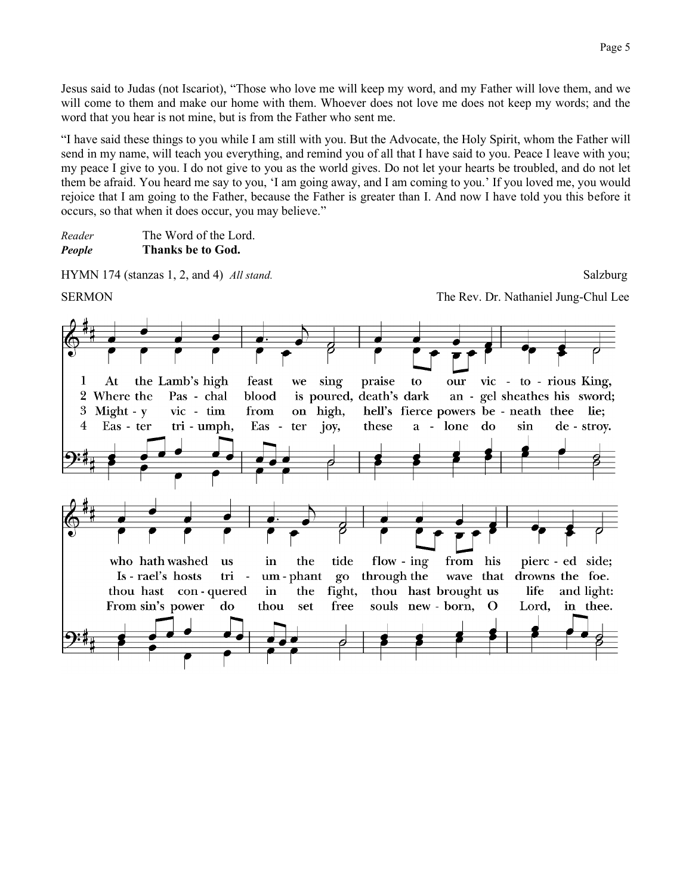Jesus said to Judas (not Iscariot), "Those who love me will keep my word, and my Father will love them, and we will come to them and make our home with them. Whoever does not love me does not keep my words; and the word that you hear is not mine, but is from the Father who sent me.

"I have said these things to you while I am still with you. But the Advocate, the Holy Spirit, whom the Father will send in my name, will teach you everything, and remind you of all that I have said to you. Peace I leave with you; my peace I give to you. I do not give to you as the world gives. Do not let your hearts be troubled, and do not let them be afraid. You heard me say to you, 'I am going away, and I am coming to you.' If you loved me, you would rejoice that I am going to the Father, because the Father is greater than I. And now I have told you this before it occurs, so that when it does occur, you may believe."

| Reader | The Word of the Lord. |
|--------|-----------------------|
| People | Thanks be to God.     |

HYMN 174 (stanzas 1, 2, and 4) *All stand.* Salzburg

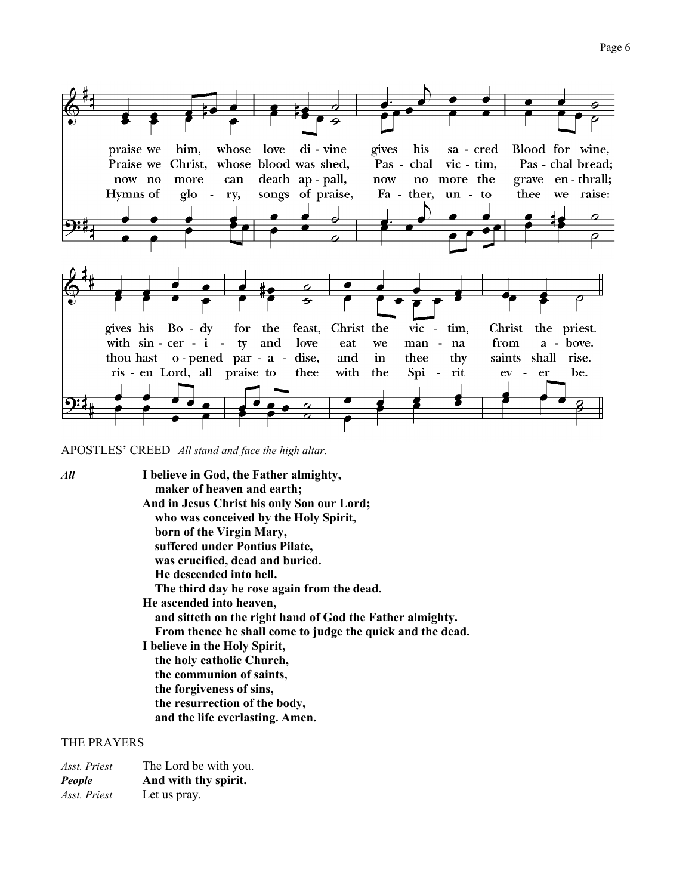

APOSTLES' CREED *All stand and face the high altar.*

*All* **I believe in God, the Father almighty, maker of heaven and earth; And in Jesus Christ his only Son our Lord; who was conceived by the Holy Spirit, born of the Virgin Mary, suffered under Pontius Pilate, was crucified, dead and buried. He descended into hell. The third day he rose again from the dead. He ascended into heaven, and sitteth on the right hand of God the Father almighty. From thence he shall come to judge the quick and the dead. I believe in the Holy Spirit, the holy catholic Church, the communion of saints, the forgiveness of sins, the resurrection of the body, and the life everlasting. Amen.**

#### THE PRAYERS

| Asst. Priest  | The Lord be with you. |
|---------------|-----------------------|
| <b>People</b> | And with thy spirit.  |
| Asst. Priest  | Let us pray.          |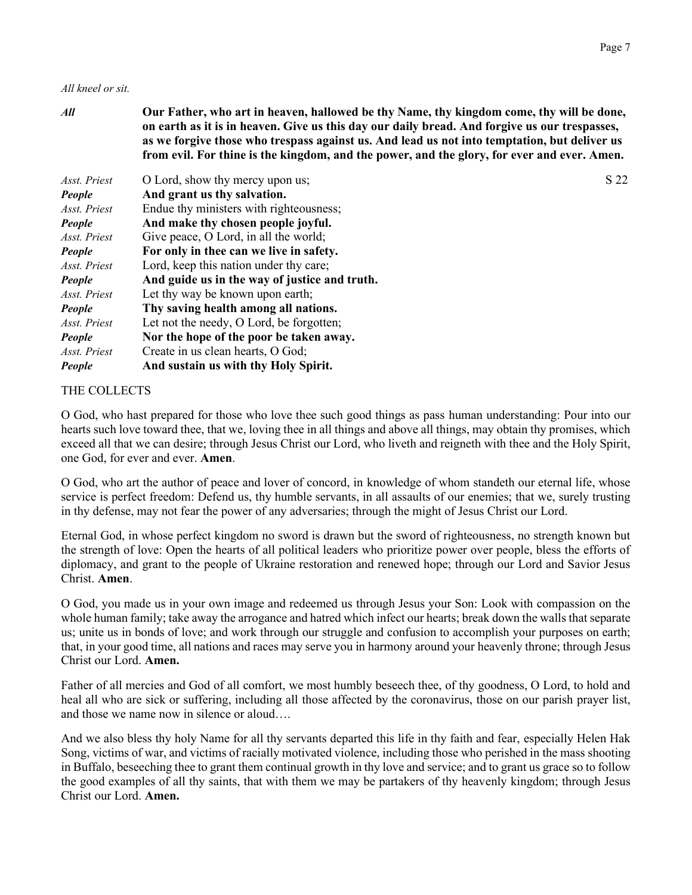#### *All kneel or sit.*

| All          | Our Father, who art in heaven, hallowed be thy Name, thy kingdom come, thy will be done,<br>on earth as it is in heaven. Give us this day our daily bread. And forgive us our trespasses,<br>as we forgive those who trespass against us. And lead us not into temptation, but deliver us<br>from evil. For thine is the kingdom, and the power, and the glory, for ever and ever. Amen. |      |
|--------------|------------------------------------------------------------------------------------------------------------------------------------------------------------------------------------------------------------------------------------------------------------------------------------------------------------------------------------------------------------------------------------------|------|
| Asst. Priest | O Lord, show thy mercy upon us;                                                                                                                                                                                                                                                                                                                                                          | S 22 |
| People       | And grant us thy salvation.                                                                                                                                                                                                                                                                                                                                                              |      |
| Asst. Priest | Endue thy ministers with righteousness;                                                                                                                                                                                                                                                                                                                                                  |      |
| People       | And make thy chosen people joyful.                                                                                                                                                                                                                                                                                                                                                       |      |
| Asst. Priest | Give peace, O Lord, in all the world;                                                                                                                                                                                                                                                                                                                                                    |      |
| People       | For only in thee can we live in safety.                                                                                                                                                                                                                                                                                                                                                  |      |
| Asst. Priest | Lord, keep this nation under thy care;                                                                                                                                                                                                                                                                                                                                                   |      |
| People       | And guide us in the way of justice and truth.                                                                                                                                                                                                                                                                                                                                            |      |
| Asst. Priest | Let thy way be known upon earth;                                                                                                                                                                                                                                                                                                                                                         |      |
| People       | Thy saving health among all nations.                                                                                                                                                                                                                                                                                                                                                     |      |
| Asst. Priest | Let not the needy, O Lord, be forgotten;                                                                                                                                                                                                                                                                                                                                                 |      |
| People       | Nor the hope of the poor be taken away.                                                                                                                                                                                                                                                                                                                                                  |      |
| Asst. Priest | Create in us clean hearts, O God;                                                                                                                                                                                                                                                                                                                                                        |      |
| People       | And sustain us with thy Holy Spirit.                                                                                                                                                                                                                                                                                                                                                     |      |

#### THE COLLECTS

O God, who hast prepared for those who love thee such good things as pass human understanding: Pour into our hearts such love toward thee, that we, loving thee in all things and above all things, may obtain thy promises, which exceed all that we can desire; through Jesus Christ our Lord, who liveth and reigneth with thee and the Holy Spirit, one God, for ever and ever. **Amen**.

O God, who art the author of peace and lover of concord, in knowledge of whom standeth our eternal life, whose service is perfect freedom: Defend us, thy humble servants, in all assaults of our enemies; that we, surely trusting in thy defense, may not fear the power of any adversaries; through the might of Jesus Christ our Lord.

Eternal God, in whose perfect kingdom no sword is drawn but the sword of righteousness, no strength known but the strength of love: Open the hearts of all political leaders who prioritize power over people, bless the efforts of diplomacy, and grant to the people of Ukraine restoration and renewed hope; through our Lord and Savior Jesus Christ. **Amen**.

O God, you made us in your own image and redeemed us through Jesus your Son: Look with compassion on the whole human family; take away the arrogance and hatred which infect our hearts; break down the walls that separate us; unite us in bonds of love; and work through our struggle and confusion to accomplish your purposes on earth; that, in your good time, all nations and races may serve you in harmony around your heavenly throne; through Jesus Christ our Lord. **Amen.**

Father of all mercies and God of all comfort, we most humbly beseech thee, of thy goodness, O Lord, to hold and heal all who are sick or suffering, including all those affected by the coronavirus, those on our parish prayer list, and those we name now in silence or aloud….

And we also bless thy holy Name for all thy servants departed this life in thy faith and fear, especially Helen Hak Song, victims of war, and victims of racially motivated violence, including those who perished in the mass shooting in Buffalo, beseeching thee to grant them continual growth in thy love and service; and to grant us grace so to follow the good examples of all thy saints, that with them we may be partakers of thy heavenly kingdom; through Jesus Christ our Lord. **Amen.**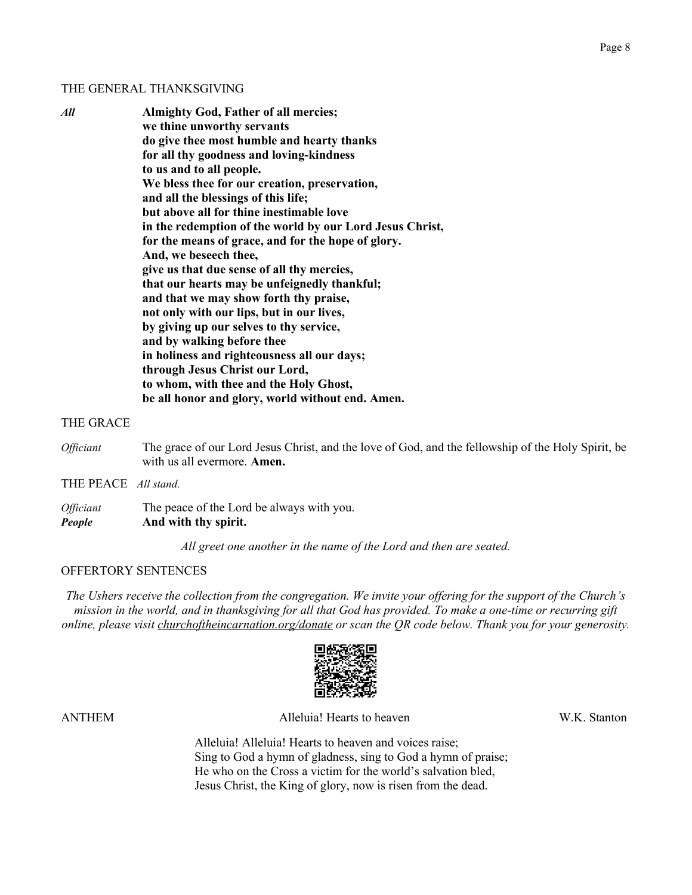#### THE GENERAL THANKSGIVING

*All* **Almighty God, Father of all mercies; we thine unworthy servants do give thee most humble and hearty thanks for all thy goodness and loving-kindness to us and to all people. We bless thee for our creation, preservation, and all the blessings of this life; but above all for thine inestimable love in the redemption of the world by our Lord Jesus Christ, for the means of grace, and for the hope of glory. And, we beseech thee, give us that due sense of all thy mercies, that our hearts may be unfeignedly thankful; and that we may show forth thy praise, not only with our lips, but in our lives, by giving up our selves to thy service, and by walking before thee in holiness and righteousness all our days; through Jesus Christ our Lord, to whom, with thee and the Holy Ghost, be all honor and glory, world without end. Amen.**

#### THE GRACE

- *Officiant* The grace of our Lord Jesus Christ, and the love of God, and the fellowship of the Holy Spirit, be with us all evermore. **Amen.**
- THE PEACE *All stand.*

*Officiant* The peace of the Lord be always with you. *People* **And with thy spirit.**

*All greet one another in the name of the Lord and then are seated.*

#### OFFERTORY SENTENCES

*The Ushers receive the collection from the congregation. We invite your offering for the support of the Church's mission in the world, and in thanksgiving for all that God has provided. To make a one-time or recurring gift online, please visit [churchoftheincarnation.org/](http://www.churchoftheincarnation.org/)donate or scan the QR code below. Thank you for your generosity.*



ANTHEM Alleluia! Hearts to heaven W.K. Stanton

 Alleluia! Alleluia! Hearts to heaven and voices raise; Sing to God a hymn of gladness, sing to God a hymn of praise; He who on the Cross a victim for the world's salvation bled, Jesus Christ, the King of glory, now is risen from the dead.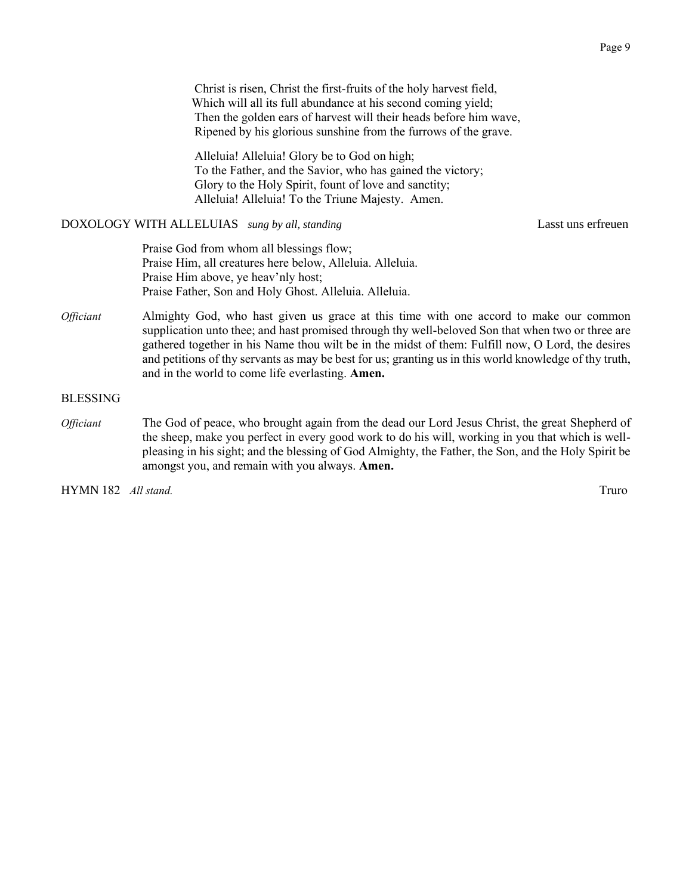Christ is risen, Christ the first-fruits of the holy harvest field, Which will all its full abundance at his second coming yield; Then the golden ears of harvest will their heads before him wave, Ripened by his glorious sunshine from the furrows of the grave.

 Alleluia! Alleluia! Glory be to God on high; To the Father, and the Savior, who has gained the victory; Glory to the Holy Spirit, fount of love and sanctity; Alleluia! Alleluia! To the Triune Majesty. Amen.

#### DOXOLOGY WITH ALLELUIAS *sung by all, standing* **Lasst uns erfreuen**

 Praise God from whom all blessings flow; Praise Him, all creatures here below, Alleluia. Alleluia. Praise Him above, ye heav'nly host; Praise Father, Son and Holy Ghost. Alleluia. Alleluia.

*Officiant* Almighty God, who hast given us grace at this time with one accord to make our common supplication unto thee; and hast promised through thy well-beloved Son that when two or three are gathered together in his Name thou wilt be in the midst of them: Fulfill now, O Lord, the desires and petitions of thy servants as may be best for us; granting us in this world knowledge of thy truth, and in the world to come life everlasting. **Amen.**

## BLESSING

*Officiant* The God of peace, who brought again from the dead our Lord Jesus Christ, the great Shepherd of the sheep, make you perfect in every good work to do his will, working in you that which is wellpleasing in his sight; and the blessing of God Almighty, the Father, the Son, and the Holy Spirit be amongst you, and remain with you always. **Amen.**

HYMN 182 *All stand.* Truro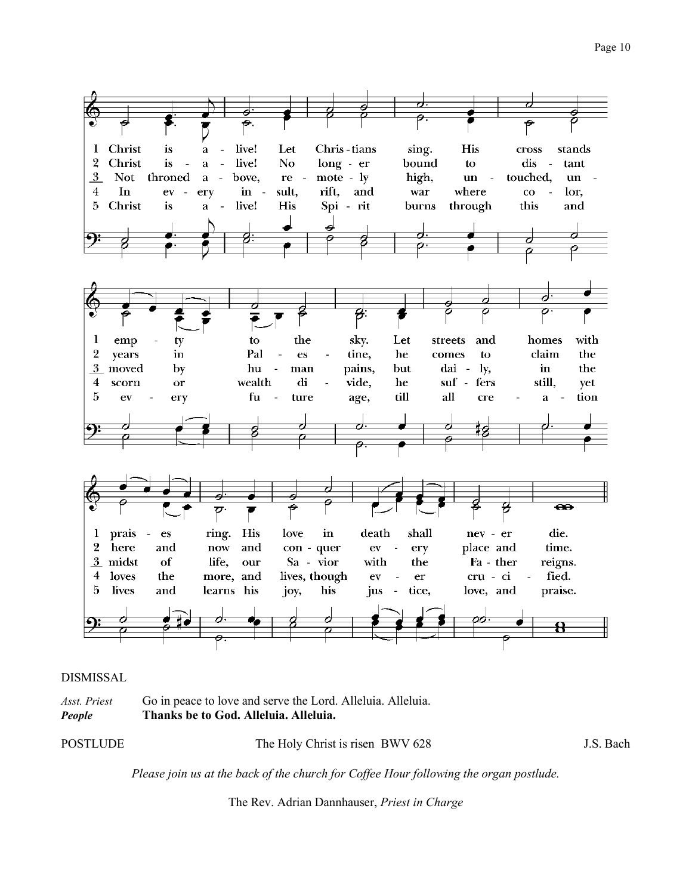

#### DISMISSAL

| Asst. Priest | Go in peace to love and serve the Lord. Alleluia. Alleluia. |
|--------------|-------------------------------------------------------------|
| People       | Thanks be to God. Alleluia. Alleluia.                       |

POSTLUDE The Holy Christ is risen BWV 628 J.S. Bach

*Please join us at the back of the church for Coffee Hour following the organ postlude.*

The Rev. Adrian Dannhauser, *Priest in Charge*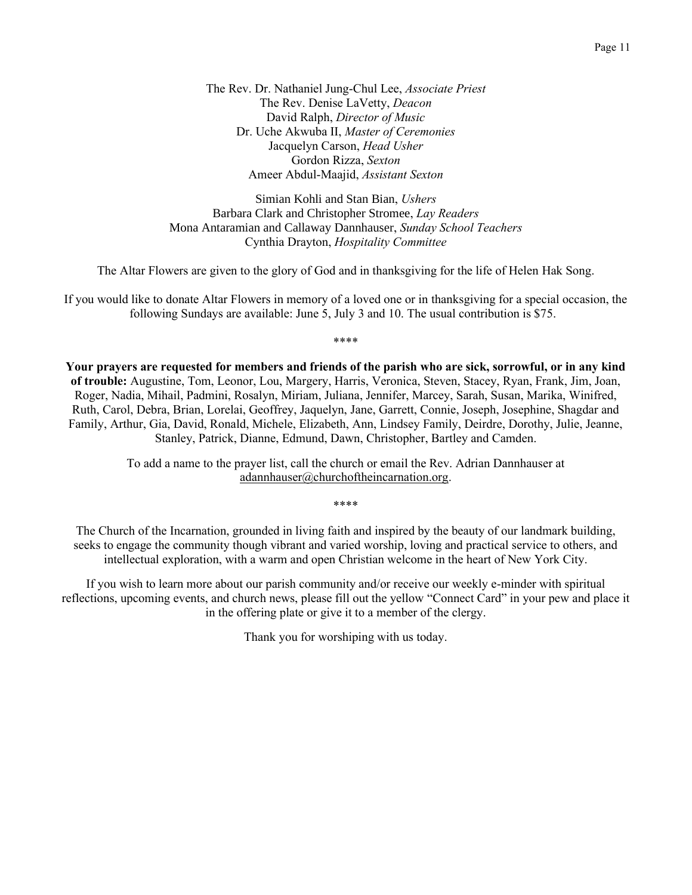The Rev. Dr. Nathaniel Jung-Chul Lee, *Associate Priest* The Rev. Denise LaVetty, *Deacon* David Ralph, *Director of Music* Dr. Uche Akwuba II, *Master of Ceremonies* Jacquelyn Carson, *Head Usher* Gordon Rizza, *Sexton* Ameer Abdul-Maajid, *Assistant Sexton*

Simian Kohli and Stan Bian, *Ushers* Barbara Clark and Christopher Stromee, *Lay Readers* Mona Antaramian and Callaway Dannhauser, *Sunday School Teachers* Cynthia Drayton, *Hospitality Committee*

The Altar Flowers are given to the glory of God and in thanksgiving for the life of Helen Hak Song.

If you would like to donate Altar Flowers in memory of a loved one or in thanksgiving for a special occasion, the following Sundays are available: June 5, July 3 and 10. The usual contribution is \$75.

\*\*\*\*

**Your prayers are requested for members and friends of the parish who are sick, sorrowful, or in any kind of trouble:** Augustine, Tom, Leonor, Lou, Margery, Harris, Veronica, Steven, Stacey, Ryan, Frank, Jim, Joan, Roger, Nadia, Mihail, Padmini, Rosalyn, Miriam, Juliana, Jennifer, Marcey, Sarah, Susan, Marika, Winifred, Ruth, Carol, Debra, Brian, Lorelai, Geoffrey, Jaquelyn, Jane, Garrett, Connie, Joseph, Josephine, Shagdar and Family, Arthur, Gia, David, Ronald, Michele, Elizabeth, Ann, Lindsey Family, Deirdre, Dorothy, Julie, Jeanne, Stanley, Patrick, Dianne, Edmund, Dawn, Christopher, Bartley and Camden.

> To add a name to the prayer list, call the church or email the Rev. Adrian Dannhauser at [adannhauser@churchoftheincarnation.org.](mailto:adannhauser@churchoftheincarnation.org)

> > \*\*\*\*

The Church of the Incarnation, grounded in living faith and inspired by the beauty of our landmark building, seeks to engage the community though vibrant and varied worship, loving and practical service to others, and intellectual exploration, with a warm and open Christian welcome in the heart of New York City.

If you wish to learn more about our parish community and/or receive our weekly e-minder with spiritual reflections, upcoming events, and church news, please fill out the yellow "Connect Card" in your pew and place it in the offering plate or give it to a member of the clergy.

Thank you for worshiping with us today.